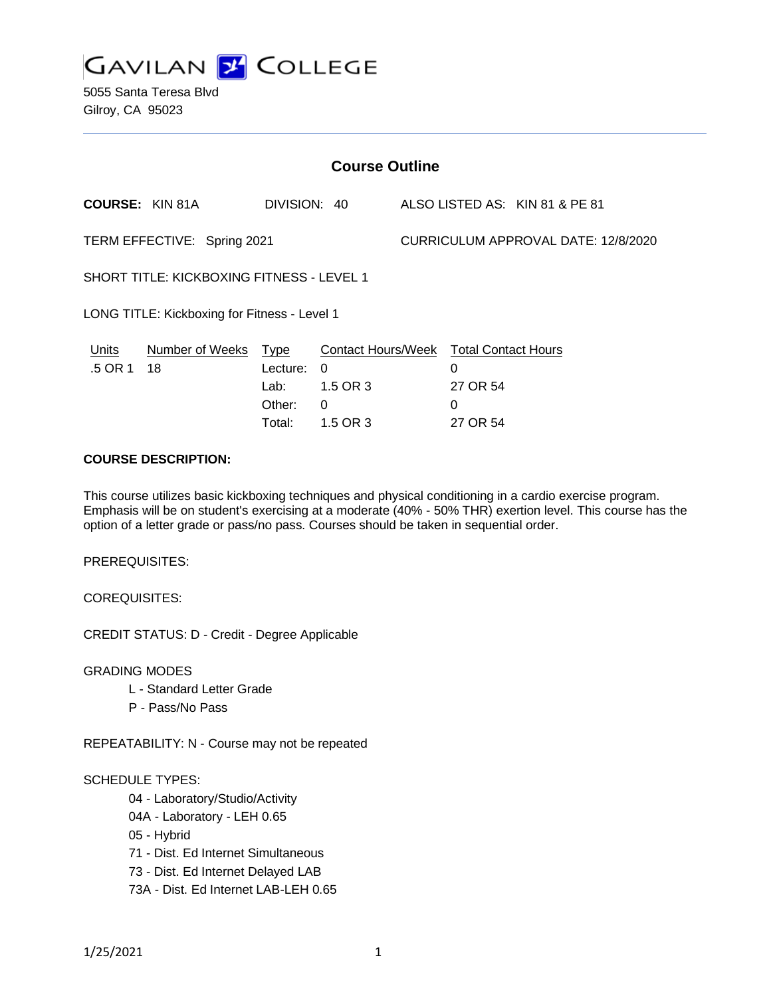

5055 Santa Teresa Blvd Gilroy, CA 95023

| <b>Course Outline</b>                            |                        |                                                     |                                                               |                                     |                                                              |                                |
|--------------------------------------------------|------------------------|-----------------------------------------------------|---------------------------------------------------------------|-------------------------------------|--------------------------------------------------------------|--------------------------------|
|                                                  | <b>COURSE: KIN 81A</b> | DIVISION: 40                                        |                                                               |                                     |                                                              | ALSO LISTED AS: KIN 81 & PE 81 |
| TERM EFFECTIVE: Spring 2021                      |                        |                                                     |                                                               | CURRICULUM APPROVAL DATE: 12/8/2020 |                                                              |                                |
| <b>SHORT TITLE: KICKBOXING FITNESS - LEVEL 1</b> |                        |                                                     |                                                               |                                     |                                                              |                                |
| LONG TITLE: Kickboxing for Fitness - Level 1     |                        |                                                     |                                                               |                                     |                                                              |                                |
| Units<br>.5 OR 1                                 | Number of Weeks<br>18  | <b>Type</b><br>Lecture:<br>Lab:<br>Other:<br>Total: | <b>Contact Hours/Week</b><br>- 0<br>1.5 OR 3<br>0<br>1.5 OR 3 |                                     | <b>Total Contact Hours</b><br>0<br>27 OR 54<br>0<br>27 OR 54 |                                |
|                                                  |                        |                                                     |                                                               |                                     |                                                              |                                |

#### **COURSE DESCRIPTION:**

This course utilizes basic kickboxing techniques and physical conditioning in a cardio exercise program. Emphasis will be on student's exercising at a moderate (40% - 50% THR) exertion level. This course has the option of a letter grade or pass/no pass. Courses should be taken in sequential order.

PREREQUISITES:

COREQUISITES:

CREDIT STATUS: D - Credit - Degree Applicable

GRADING MODES

- L Standard Letter Grade
- P Pass/No Pass

REPEATABILITY: N - Course may not be repeated

## SCHEDULE TYPES:

04 - Laboratory/Studio/Activity

- 04A Laboratory LEH 0.65
- 05 Hybrid
- 71 Dist. Ed Internet Simultaneous
- 73 Dist. Ed Internet Delayed LAB
- 73A Dist. Ed Internet LAB-LEH 0.65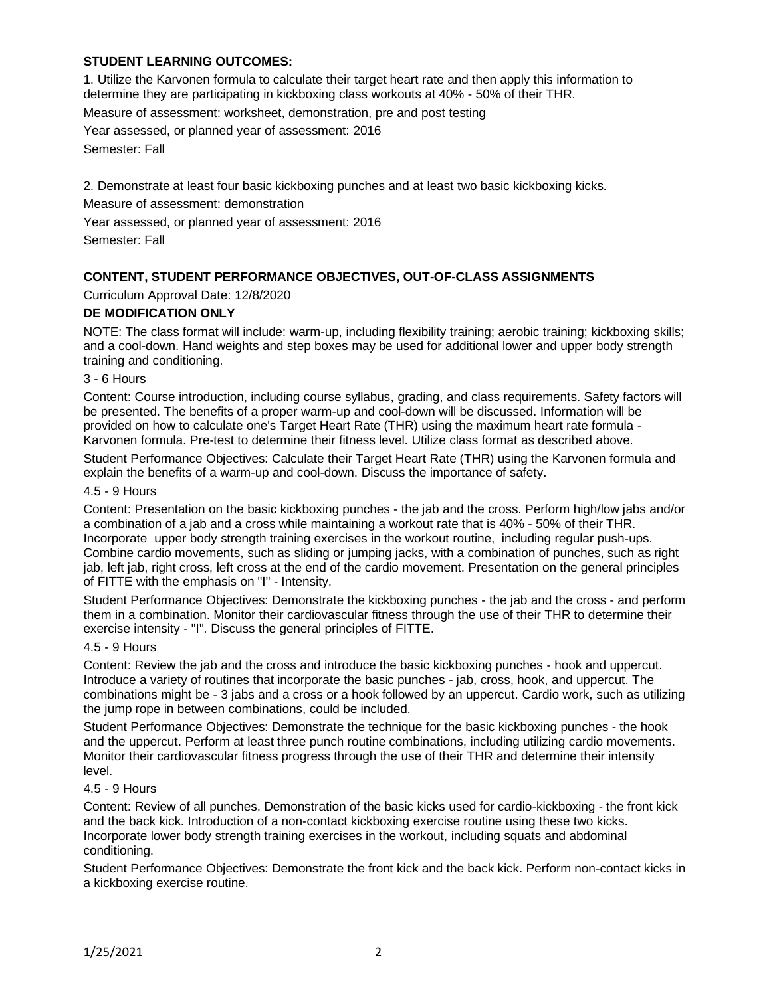# **STUDENT LEARNING OUTCOMES:**

1. Utilize the Karvonen formula to calculate their target heart rate and then apply this information to determine they are participating in kickboxing class workouts at 40% - 50% of their THR. Measure of assessment: worksheet, demonstration, pre and post testing Year assessed, or planned year of assessment: 2016 Semester: Fall

2. Demonstrate at least four basic kickboxing punches and at least two basic kickboxing kicks.

Measure of assessment: demonstration

Year assessed, or planned year of assessment: 2016

Semester: Fall

## **CONTENT, STUDENT PERFORMANCE OBJECTIVES, OUT-OF-CLASS ASSIGNMENTS**

Curriculum Approval Date: 12/8/2020

## **DE MODIFICATION ONLY**

NOTE: The class format will include: warm-up, including flexibility training; aerobic training; kickboxing skills; and a cool-down. Hand weights and step boxes may be used for additional lower and upper body strength training and conditioning.

3 - 6 Hours

Content: Course introduction, including course syllabus, grading, and class requirements. Safety factors will be presented. The benefits of a proper warm-up and cool-down will be discussed. Information will be provided on how to calculate one's Target Heart Rate (THR) using the maximum heart rate formula - Karvonen formula. Pre-test to determine their fitness level. Utilize class format as described above.

Student Performance Objectives: Calculate their Target Heart Rate (THR) using the Karvonen formula and explain the benefits of a warm-up and cool-down. Discuss the importance of safety.

#### 4.5 - 9 Hours

Content: Presentation on the basic kickboxing punches - the jab and the cross. Perform high/low jabs and/or a combination of a jab and a cross while maintaining a workout rate that is 40% - 50% of their THR. Incorporate upper body strength training exercises in the workout routine, including regular push-ups. Combine cardio movements, such as sliding or jumping jacks, with a combination of punches, such as right jab, left jab, right cross, left cross at the end of the cardio movement. Presentation on the general principles of FITTE with the emphasis on "I" - Intensity.

Student Performance Objectives: Demonstrate the kickboxing punches - the jab and the cross - and perform them in a combination. Monitor their cardiovascular fitness through the use of their THR to determine their exercise intensity - "I". Discuss the general principles of FITTE.

#### 4.5 - 9 Hours

Content: Review the jab and the cross and introduce the basic kickboxing punches - hook and uppercut. Introduce a variety of routines that incorporate the basic punches - jab, cross, hook, and uppercut. The combinations might be - 3 jabs and a cross or a hook followed by an uppercut. Cardio work, such as utilizing the jump rope in between combinations, could be included.

Student Performance Objectives: Demonstrate the technique for the basic kickboxing punches - the hook and the uppercut. Perform at least three punch routine combinations, including utilizing cardio movements. Monitor their cardiovascular fitness progress through the use of their THR and determine their intensity level.

#### 4.5 - 9 Hours

Content: Review of all punches. Demonstration of the basic kicks used for cardio-kickboxing - the front kick and the back kick. Introduction of a non-contact kickboxing exercise routine using these two kicks. Incorporate lower body strength training exercises in the workout, including squats and abdominal conditioning.

Student Performance Objectives: Demonstrate the front kick and the back kick. Perform non-contact kicks in a kickboxing exercise routine.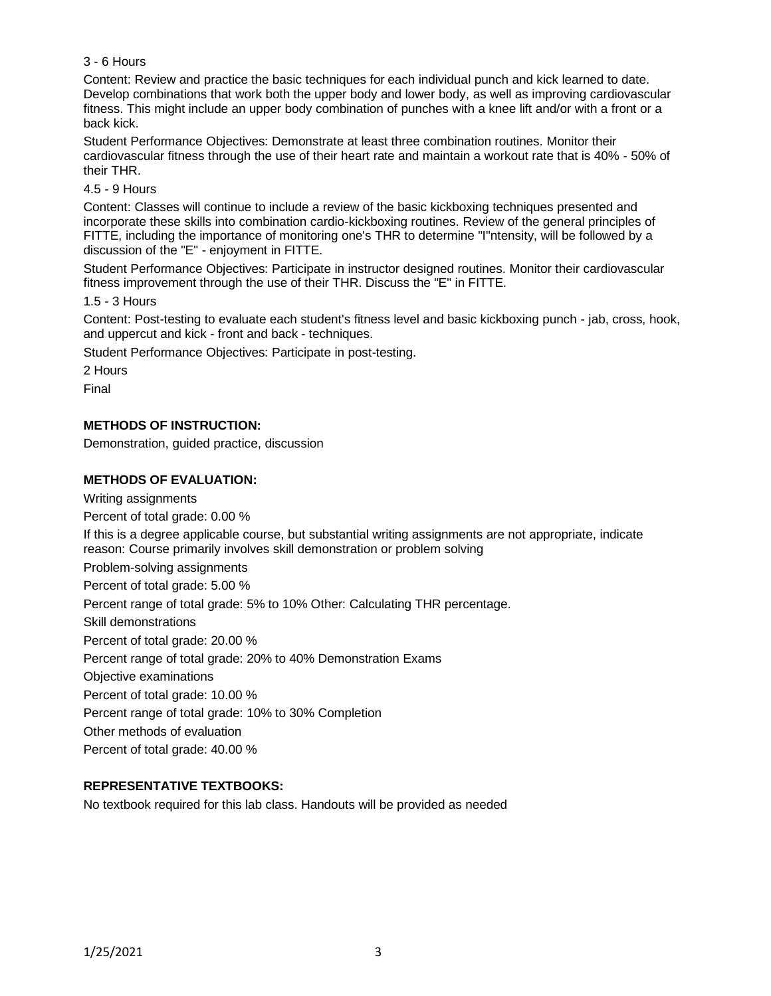## 3 - 6 Hours

Content: Review and practice the basic techniques for each individual punch and kick learned to date. Develop combinations that work both the upper body and lower body, as well as improving cardiovascular fitness. This might include an upper body combination of punches with a knee lift and/or with a front or a back kick.

Student Performance Objectives: Demonstrate at least three combination routines. Monitor their cardiovascular fitness through the use of their heart rate and maintain a workout rate that is 40% - 50% of their THR.

#### 4.5 - 9 Hours

Content: Classes will continue to include a review of the basic kickboxing techniques presented and incorporate these skills into combination cardio-kickboxing routines. Review of the general principles of FITTE, including the importance of monitoring one's THR to determine "I"ntensity, will be followed by a discussion of the "E" - enjoyment in FITTE.

Student Performance Objectives: Participate in instructor designed routines. Monitor their cardiovascular fitness improvement through the use of their THR. Discuss the "E" in FITTE.

1.5 - 3 Hours

Content: Post-testing to evaluate each student's fitness level and basic kickboxing punch - jab, cross, hook, and uppercut and kick - front and back - techniques.

Student Performance Objectives: Participate in post-testing.

2 Hours

Final

## **METHODS OF INSTRUCTION:**

Demonstration, guided practice, discussion

## **METHODS OF EVALUATION:**

Writing assignments Percent of total grade: 0.00 % If this is a degree applicable course, but substantial writing assignments are not appropriate, indicate reason: Course primarily involves skill demonstration or problem solving Problem-solving assignments Percent of total grade: 5.00 % Percent range of total grade: 5% to 10% Other: Calculating THR percentage. Skill demonstrations Percent of total grade: 20.00 % Percent range of total grade: 20% to 40% Demonstration Exams Objective examinations Percent of total grade: 10.00 % Percent range of total grade: 10% to 30% Completion Other methods of evaluation Percent of total grade: 40.00 %

## **REPRESENTATIVE TEXTBOOKS:**

No textbook required for this lab class. Handouts will be provided as needed